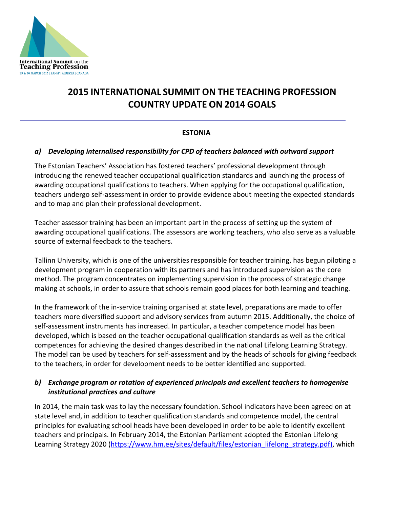

# **2015 INTERNATIONAL SUMMIT ON THE TEACHING PROFESSION COUNTRY UPDATE ON 2014 GOALS**

## **ESTONIA**

#### *a) Developing internalised responsibility for CPD of teachers balanced with outward support*

The Estonian Teachers' Association has fostered teachers' professional development through introducing the renewed teacher occupational qualification standards and launching the process of awarding occupational qualifications to teachers. When applying for the occupational qualification, teachers undergo self-assessment in order to provide evidence about meeting the expected standards and to map and plan their professional development.

Teacher assessor training has been an important part in the process of setting up the system of awarding occupational qualifications. The assessors are working teachers, who also serve as a valuable source of external feedback to the teachers.

Tallinn University, which is one of the universities responsible for teacher training, has begun piloting a development program in cooperation with its partners and has introduced supervision as the core method. The program concentrates on implementing supervision in the process of strategic change making at schools, in order to assure that schools remain good places for both learning and teaching.

In the framework of the in-service training organised at state level, preparations are made to offer teachers more diversified support and advisory services from autumn 2015. Additionally, the choice of self-assessment instruments has increased. In particular, a teacher competence model has been developed, which is based on the teacher occupational qualification standards as well as the critical competences for achieving the desired changes described in the national Lifelong Learning Strategy. The model can be used by teachers for self-assessment and by the heads of schools for giving feedback to the teachers, in order for development needs to be better identified and supported.

## *b) Exchange program or rotation of experienced principals and excellent teachers to homogenise institutional practices and culture*

In 2014, the main task was to lay the necessary foundation. School indicators have been agreed on at state level and, in addition to teacher qualification standards and competence model, the central principles for evaluating school heads have been developed in order to be able to identify excellent teachers and principals. In February 2014, the Estonian Parliament adopted the Estonian Lifelong Learning Strategy 2020 [\(https://www.hm.ee/sites/default/files/estonian\\_lifelong\\_strategy.pdf\)](https://www.hm.ee/sites/default/files/estonian_lifelong_strategy.pdf), which